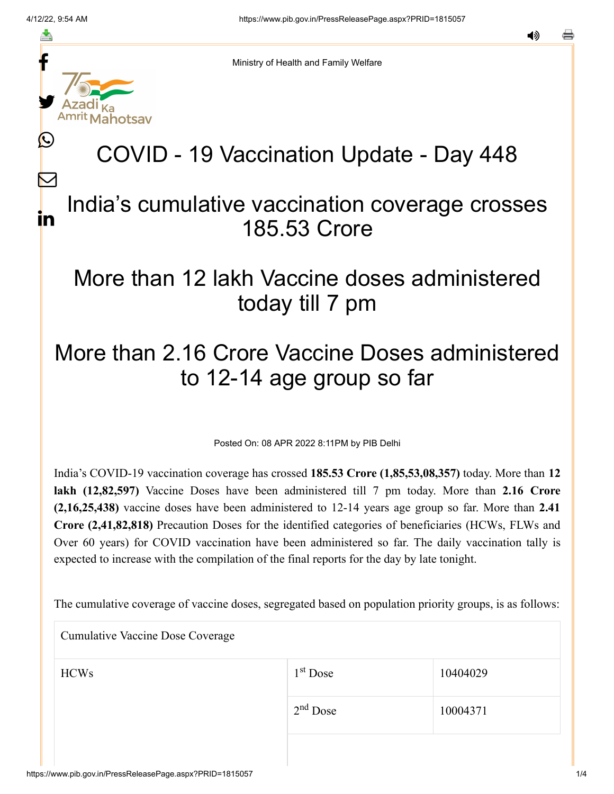f

≛

y.

L

 $\bm{\nabla}$ 

in

Ministry of Health and Family Welfare

## COVID - 19 Vaccination Update - Day 448

## India's cumulative vaccination coverage crosses 185.53 Crore

## More than 12 lakh Vaccine doses administered today till 7 pm

## More than 2.16 Crore Vaccine Doses administered to 12-14 age group so far

Posted On: 08 APR 2022 8:11PM by PIB Delhi

India's COVID-19 vaccination coverage has crossed **185.53 Crore (1,85,53,08,357)** today. More than **12 lakh (12,82,597)** Vaccine Doses have been administered till 7 pm today. More than **2.16 Crore (2,16,25,438)** vaccine doses have been administered to 12-14 years age group so far. More than **2.41 Crore (2,41,82,818)** Precaution Doses for the identified categories of beneficiaries (HCWs, FLWs and Over 60 years) for COVID vaccination have been administered so far. The daily vaccination tally is expected to increase with the compilation of the final reports for the day by late tonight.

The cumulative coverage of vaccine doses, segregated based on population priority groups, is as follows:

Cumulative Vaccine Dose Coverage

| <b>HCWs</b> | $1st$ Dose | 10404029 |
|-------------|------------|----------|
|             | $2nd$ Dose | 10004371 |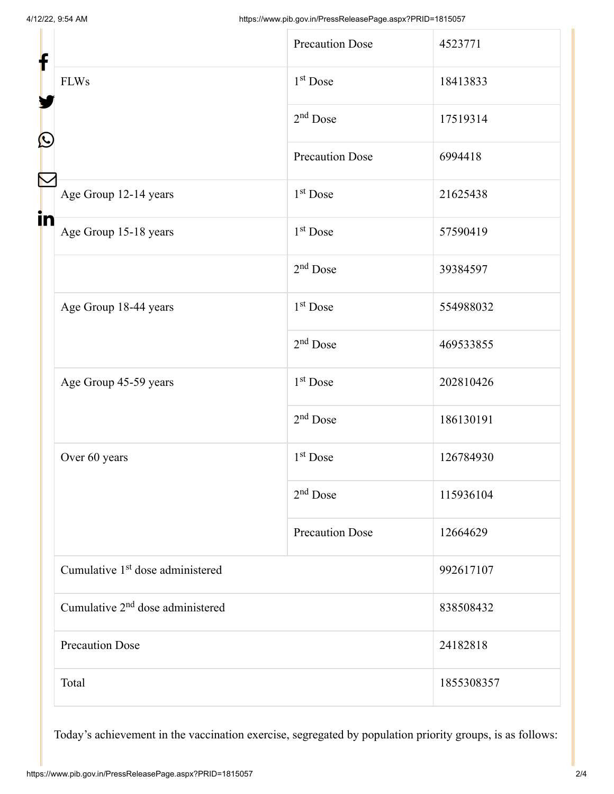| f                 |                                              | <b>Precaution Dose</b> | 4523771    |
|-------------------|----------------------------------------------|------------------------|------------|
|                   | <b>FLWs</b>                                  | $1st$ Dose             | 18413833   |
| $\mathbf{\Omega}$ |                                              | $2nd$ Dose             | 17519314   |
|                   |                                              | <b>Precaution Dose</b> | 6994418    |
|                   | Age Group 12-14 years                        | $1st$ Dose             | 21625438   |
| in                | Age Group 15-18 years                        | $1st$ Dose             | 57590419   |
|                   |                                              | $2nd$ Dose             | 39384597   |
|                   | Age Group 18-44 years                        | 1 <sup>st</sup> Dose   | 554988032  |
|                   |                                              | $2nd$ Dose             | 469533855  |
|                   | Age Group 45-59 years                        | 1 <sup>st</sup> Dose   | 202810426  |
|                   |                                              | $2nd$ Dose             | 186130191  |
|                   | Over 60 years                                | 1 <sup>st</sup> Dose   | 126784930  |
|                   |                                              | $2nd$ Dose             | 115936104  |
|                   |                                              | <b>Precaution Dose</b> | 12664629   |
|                   | Cumulative 1 <sup>st</sup> dose administered |                        | 992617107  |
|                   | Cumulative 2 <sup>nd</sup> dose administered |                        | 838508432  |
|                   | <b>Precaution Dose</b>                       |                        | 24182818   |
|                   | Total                                        |                        | 1855308357 |

Today's achievement in the vaccination exercise, segregated by population priority groups, is as follows: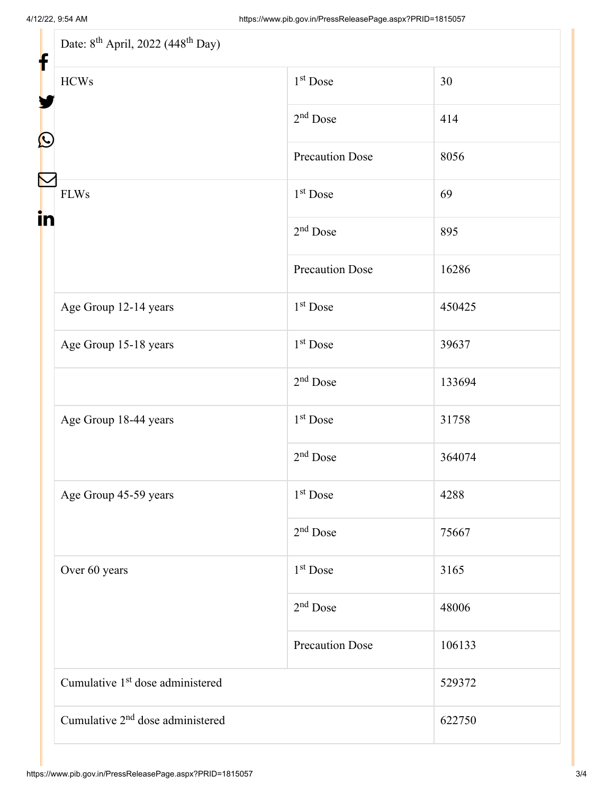| Date: 8 <sup>th</sup> April, 2022 (448 <sup>th</sup> Day)<br>f |                        |        |  |  |
|----------------------------------------------------------------|------------------------|--------|--|--|
| <b>HCWs</b>                                                    | 1 <sup>st</sup> Dose   | 30     |  |  |
|                                                                | $2nd$ Dose             | 414    |  |  |
|                                                                | <b>Precaution Dose</b> | 8056   |  |  |
| <b>FLWs</b>                                                    | 1 <sup>st</sup> Dose   | 69     |  |  |
|                                                                | $2nd$ Dose             | 895    |  |  |
|                                                                | <b>Precaution Dose</b> | 16286  |  |  |
| Age Group 12-14 years                                          | 1 <sup>st</sup> Dose   | 450425 |  |  |
| Age Group 15-18 years                                          | 1 <sup>st</sup> Dose   | 39637  |  |  |
|                                                                | $2nd$ Dose             | 133694 |  |  |
| Age Group 18-44 years                                          | 1 <sup>st</sup> Dose   | 31758  |  |  |
|                                                                | $2nd$ Dose             | 364074 |  |  |
| Age Group 45-59 years                                          | 1 <sup>st</sup> Dose   | 4288   |  |  |
|                                                                | $2nd$ Dose             | 75667  |  |  |
| Over 60 years                                                  | 1 <sup>st</sup> Dose   | 3165   |  |  |
|                                                                | $2nd$ Dose             | 48006  |  |  |
|                                                                | <b>Precaution Dose</b> | 106133 |  |  |
| Cumulative 1 <sup>st</sup> dose administered                   |                        | 529372 |  |  |
| Cumulative 2 <sup>nd</sup> dose administered                   |                        | 622750 |  |  |